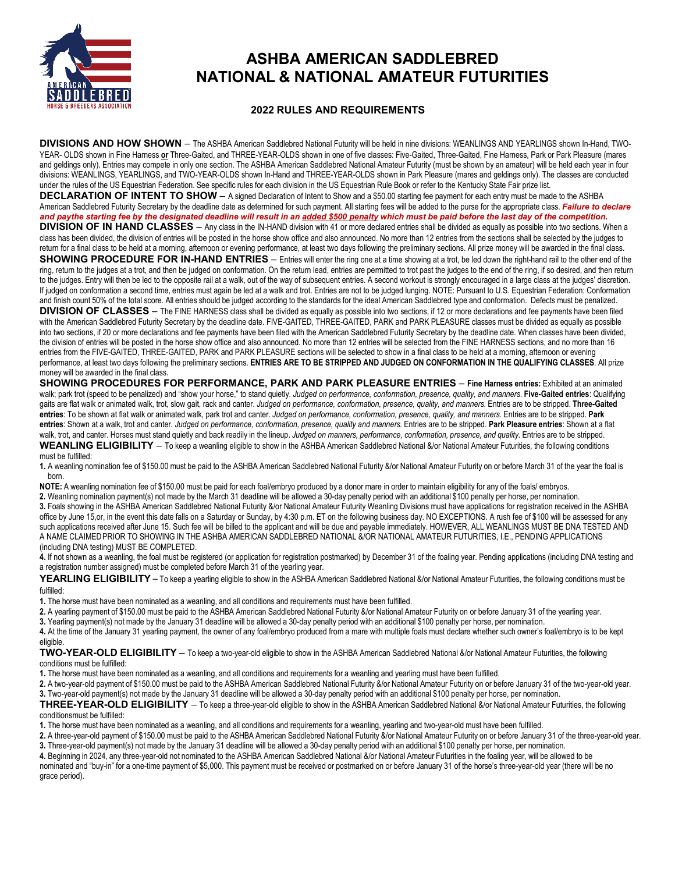

# **ASHBA AMERICAN SADDLEBRED NATIONAL & NATIONAL AMATEUR FUTURITIES**

### **2022 RULES AND REQUIREMENTS**

**DIVISIONS AND HOW SHOWN** – The ASHBA American Saddlebred National Futurity will be held in nine divisions: WEANLINGS AND YEARLINGS shown In-Hand, TWO-YEAR- OLDS shown in Fine Harness **or** Three-Gaited, and THREE-YEAR-OLDS shown in one of five classes: Five-Gaited, Three-Gaited, Fine Harness, Park or Park Pleasure (mares and geldings only). Entries may compete in only one section. The ASHBA American Saddlebred National Amateur Futurity (must be shown by an amateur) will be held each year in four divisions: WEANLINGS, YEARLINGS, and TWO-YEAR-OLDS shown In-Hand and THREE-YEAR-OLDS shown in Park Pleasure (mares and geldings only). The classes are conducted under the rules of the US Equestrian Federation. See specific rules for each division in the US Equestrian Rule Book or refer to the Kentucky State Fair prize list.

**DECLARATION OF INTENT TO SHOW** – A signed Declaration of Intent to Show and a \$50.00 starting fee payment for each entry must be made to the ASHBA American Saddlebred Futurity Secretary by the deadline date as determined for such payment. All starting fees will be added to the purse for the appropriate class. *Failure to declare*  and paythe starting fee by the designated deadline will result in an added \$500 penalty which must be paid before the last day of the competition.

**DIVISION OF IN HAND CLASSES** – Any class in the IN-HAND division with 41 or more declared entries shall be divided as equally as possible into two sections. When a class has been divided, the division of entries will be posted in the horse show office and also announced. No more than 12 entries from the sections shall be selected by the judges to return for a final class to be held at a morning, afternoon or evening performance, at least two days following the preliminary sections. All prize money will be awarded in the final class.

**SHOWING PROCEDURE FOR IN-HAND ENTRIES** – Entries will enter the ring one at a time showing at a trot, be led down the right-hand rail to the other end of the ring, return to the judges at a trot, and then be judged on conformation. On the return lead, entries are permitted to trot past the judges to the end of the ring, if so desired, and then return to the judges. Entry will then be led to the opposite rail at a walk, out of the way of subsequent entries. A second workout is strongly encouraged in a large class at the judges' discretion. If judged on conformation a second time, entries must again be led at a walk and trot. Entries are not to be judged lunging. NOTE: Pursuant to U.S. Equestrian Federation: Conformation and finish count 50% of the total score. All entries should be judged according to the standards for the ideal American Saddlebred type and conformation. Defects must be penalized.

**DIVISION OF CLASSES** - The FINE HARNESS class shall be divided as equally as possible into two sections, if 12 or more declarations and fee payments have been filed with the American Saddlebred Futurity Secretary by the deadline date. FIVE-GAITED, THREE-GAITED, PARK and PARK PLEASURE classes must be divided as equally as possible into two sections, if 20 or more declarations and fee payments have been filed with the American Saddlebred Futurity Secretary by the deadline date. When classes have been divided, the division of entries will be posted in the horse show office and also announced. No more than 12 entries will be selected from the FINE HARNESS sections, and no more than 16 entries from the FIVE-GAITED, THREE-GAITED, PARK and PARK PLEASURE sections will be selected to show in a final class to be held at a morning, afternoon or evening performance, at least two days following the preliminary sections. **ENTRIES ARE TO BE STRIPPED AND JUDGED ON CONFORMATION IN THE QUALIFYING CLASSES**. All prize money will be awarded in the final class.

**SHOWING PROCEDURES FOR PERFORMANCE, PARK AND PARK PLEASURE ENTRIES** – **Fine Harness entries:** Exhibited at an animated walk; park trot (speed to be penalized) and "show your horse," to stand quietly. *Judged on performance, conformation, presence, quality, and manners*. **Five-Gaited entries**: Qualifying gaits are flat walk or animated walk, trot, slow gait, rack and canter. *Judged on performance, conformation, presence, quality, and manners*. Entries are to be stripped. **Three-Gaited entries**: To be shown at flat walk or animated walk, park trot and canter. *Judged on performance, conformation, presence, quality, and manners*. Entries are to be stripped. **Park entries**: Shown at a walk, trot and canter. *Judged on performance, conformation, presence, quality and manners*. Entries are to be stripped. **Park Pleasure entries**: Shown at a flat walk, trot, and canter. Horses must stand quietly and back readily in the lineup. Judged on manners, performance, conformation, presence, and quality. Entries are to be stripped.

WEANLING ELIGIBILITY – To keep a weanling eligible to show in the ASHBA American Saddlebred National *&/or* National Amateur Futurities, the following conditions must be fulfilled:

**1.** A weanling nomination fee of \$150.00 must be paid to the ASHBA American Saddlebred National Futurity &/or National Amateur Futurity on or before March 31 of the year the foal is born.

**NOTE:** A weanling nomination fee of \$150.00 must be paid for each foal/embryo produced by a donor mare in order to maintain eligibility for any of the foals/ embryos.

**2.** Weanling nomination payment(s) not made by the March 31 deadline will be allowed a 30-day penalty period with an additional \$100 penalty per horse, per nomination. **3.** Foals showing in the ASHBA American Saddlebred National Futurity &/or National Amateur Futurity Weanling Divisions must have applications for registration received in the ASHBA office by June 15,or, in the event this date falls on a Saturday or Sunday, by 4:30 p.m. ET on the following business day. NO EXCEPTIONS. A rush fee of \$100 will be assessed for any such applications received after June 15. Such fee will be billed to the applicant and will be due and payable immediately. HOWEVER, ALL WEANLINGS MUST BE DNA TESTED AND A NAME CLAIMED PRIOR TO SHOWING IN THE ASHBA AMERICAN SADDLEBRED NATIONAL &/OR NATIONAL AMATEUR FUTURITIES, I.E., PENDING APPLICATIONS (including DNA testing) MUST BE COMPLETED.

**4.** If not shown as a weanling, the foal must be registered (or application for registration postmarked) by December 31 of the foaling year. Pending applications (including DNA testing and a registration number assigned) must be completed before March 31 of the yearling year.

YEARLING ELIGIBILITY – To keep a yearling eligible to show in the ASHBA American Saddlebred National *&/or* National Amateur Futurities, the following conditions must be fulfilled:

**1.** The horse must have been nominated as a weanling, and all conditions and requirements must have been fulfilled.

2. A yearling payment of \$150.00 must be paid to the ASHBA American Saddlebred National Futurity &/or National Amateur Futurity on or before January 31 of the yearling year.

**3.** Yearling payment(s) not made by the January 31 deadline will be allowed a 30-day penalty period with an additional \$100 penalty per horse, per nomination.

**4.** At the time of the January 31 yearling payment, the owner of any foal/embryo produced from a mare with multiple foals must declare whether such owner's foal/embryo is to be kept eligible.

**TWO-YEAR-OLD ELIGIBILITY** – To keep a two-year-old eligible to show in the ASHBA American Saddlebred National &/or National Amateur Futurities, the following conditions must be fulfilled:

**1.** The horse must have been nominated as a weanling, and all conditions and requirements for a weanling and yearling must have been fulfilled.

**2.** A two-year-old payment of \$150.00 must be paid to the ASHBA American Saddlebred National Futurity &/or National Amateur Futurity on or before January 31 of the two-year-old year. **3.** Two-year-old payment(s) not made by the January 31 deadline will be allowed a 30-day penalty period with an additional \$100 penalty per horse, per nomination.

**THREE-YEAR-OLD ELIGIBILITY** – To keep a three-year-old eligible to show in the ASHBA American Saddlebred National &/or National Amateur Futurities, the following conditionsmust be fulfilled:

**1.** The horse must have been nominated as a weanling, and all conditions and requirements for a weanling, yearling and two-year-old must have been fulfilled.

**2.** A three-year-old payment of \$150.00 must be paid to the ASHBA American Saddlebred National Futurity &/or National Amateur Futurity on or before January 31 of the three-year-old year. **3.** Three-year-old payment(s) not made by the January 31 deadline will be allowed a 30-day penalty period with an additional \$100 penalty per horse, per nomination.

**4.** Beginning in 2024, any three-year-old not nominated to the ASHBA American Saddlebred National &/or National Amateur Futurities in the foaling year, will be allowed to be nominated and "buy-in" for a one-time payment of \$5,000. This payment must be received or postmarked on or before January 31 of the horse's three-year-old year (there will be no grace period).